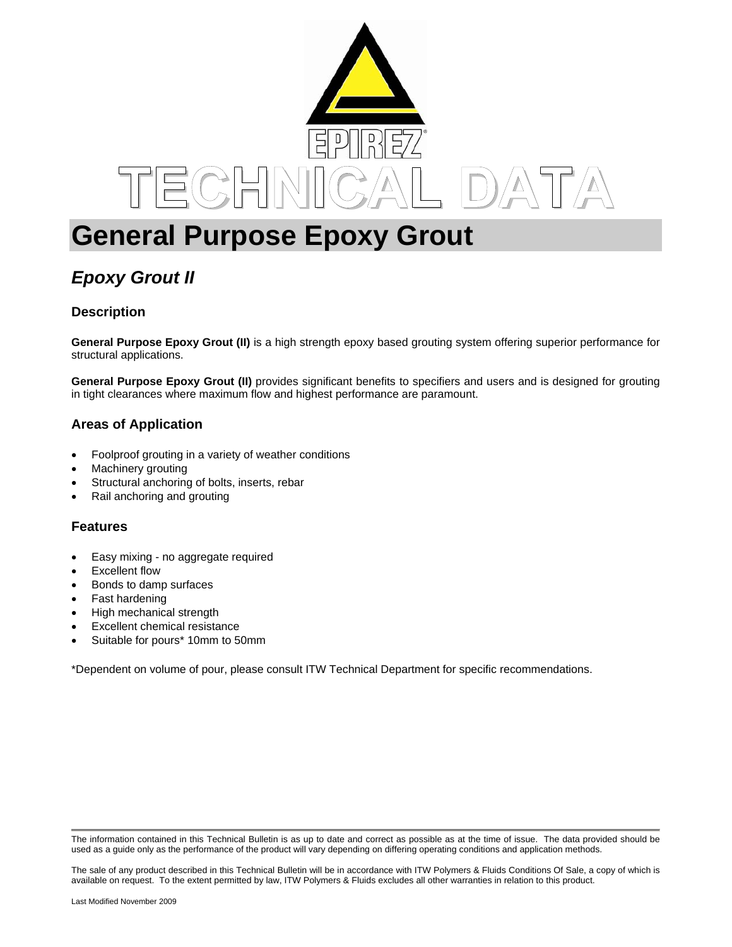

# **General Purpose Epoxy Grout**

# *Epoxy Grout II*

# **Description**

**General Purpose Epoxy Grout (II)** is a high strength epoxy based grouting system offering superior performance for structural applications.

**General Purpose Epoxy Grout (II)** provides significant benefits to specifiers and users and is designed for grouting in tight clearances where maximum flow and highest performance are paramount.

# **Areas of Application**

- Foolproof grouting in a variety of weather conditions
- Machinery grouting
- Structural anchoring of bolts, inserts, rebar
- Rail anchoring and grouting

#### **Features**

- Easy mixing no aggregate required
- Excellent flow
- Bonds to damp surfaces
- Fast hardening
- High mechanical strength
- Excellent chemical resistance
- Suitable for pours\* 10mm to 50mm

\*Dependent on volume of pour, please consult ITW Technical Department for specific recommendations.

The information contained in this Technical Bulletin is as up to date and correct as possible as at the time of issue. The data provided should be used as a guide only as the performance of the product will vary depending on differing operating conditions and application methods.

The sale of any product described in this Technical Bulletin will be in accordance with ITW Polymers & Fluids Conditions Of Sale, a copy of which is available on request. To the extent permitted by law, ITW Polymers & Fluids excludes all other warranties in relation to this product.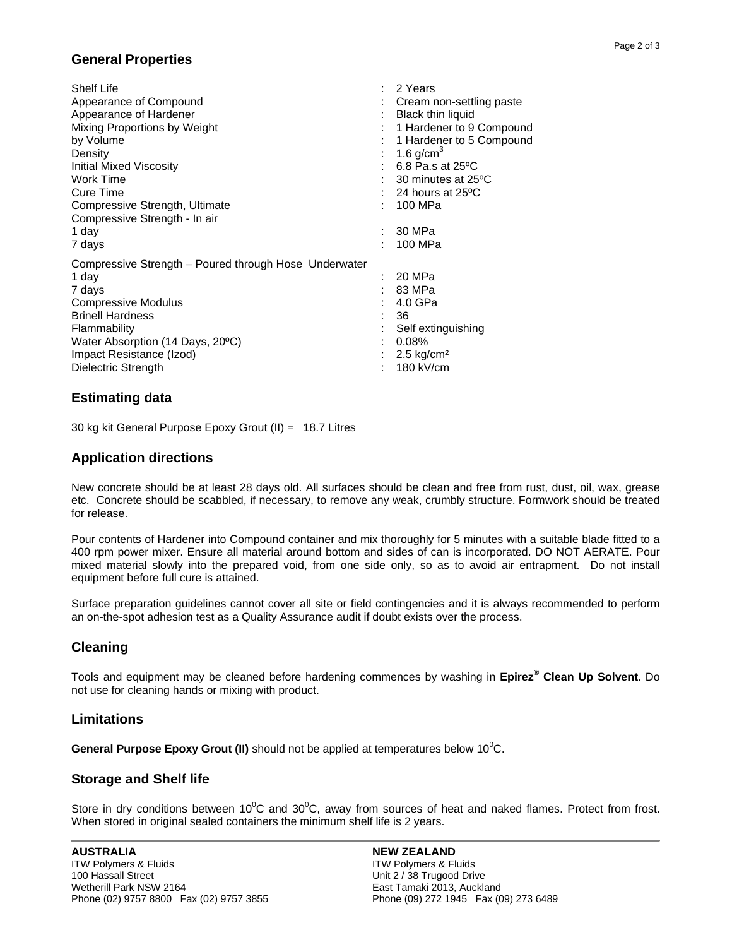## **General Properties**

| <b>Shelf Life</b>                                     | 2 Years                  |
|-------------------------------------------------------|--------------------------|
| Appearance of Compound                                | Cream non-settling paste |
| Appearance of Hardener                                | <b>Black thin liquid</b> |
| Mixing Proportions by Weight                          | 1 Hardener to 9 Compound |
| by Volume                                             | 1 Hardener to 5 Compound |
| Density                                               | 1.6 $g/cm3$              |
| <b>Initial Mixed Viscosity</b>                        | 6.8 Pa.s at 25ºC         |
| Work Time                                             | 30 minutes at 25°C       |
| Cure Time                                             | 24 hours at 25ºC         |
| Compressive Strength, Ultimate                        | 100 MPa                  |
| Compressive Strength - In air                         |                          |
| 1 day                                                 | 30 MPa                   |
| 7 days                                                | 100 MPa                  |
| Compressive Strength - Poured through Hose Underwater |                          |
| 1 day                                                 | 20 MPa                   |
| 7 days                                                | 83 MPa                   |
| Compressive Modulus                                   | 4.0 GPa                  |
| <b>Brinell Hardness</b>                               | 36                       |
| Flammability                                          | Self extinguishing       |
| Water Absorption (14 Days, 20°C)                      | 0.08%                    |
| Impact Resistance (Izod)                              | 2.5 kg/cm <sup>2</sup>   |
| Dielectric Strength                                   | 180 kV/cm                |
|                                                       |                          |

### **Estimating data**

30 kg kit General Purpose Epoxy Grout (II) = 18.7 Litres

#### **Application directions**

New concrete should be at least 28 days old. All surfaces should be clean and free from rust, dust, oil, wax, grease etc. Concrete should be scabbled, if necessary, to remove any weak, crumbly structure. Formwork should be treated for release.

Pour contents of Hardener into Compound container and mix thoroughly for 5 minutes with a suitable blade fitted to a 400 rpm power mixer. Ensure all material around bottom and sides of can is incorporated. DO NOT AERATE. Pour mixed material slowly into the prepared void, from one side only, so as to avoid air entrapment. Do not install equipment before full cure is attained.

Surface preparation guidelines cannot cover all site or field contingencies and it is always recommended to perform an on-the-spot adhesion test as a Quality Assurance audit if doubt exists over the process.

# **Cleaning**

Tools and equipment may be cleaned before hardening commences by washing in **Epirez® Clean Up Solvent**. Do not use for cleaning hands or mixing with product.

#### **Limitations**

General Purpose Epoxy Grout (II) should not be applied at temperatures below 10<sup>°</sup>C.

#### **Storage and Shelf life**

Store in dry conditions between 10<sup>°</sup>C and 30<sup>°</sup>C, away from sources of heat and naked flames. Protect from frost. When stored in original sealed containers the minimum shelf life is 2 years.

#### **NEW ZEALAND**

ITW Polymers & Fluids Unit 2 / 38 Trugood Drive East Tamaki 2013, Auckland Phone (09) 272 1945 Fax (09) 273 6489